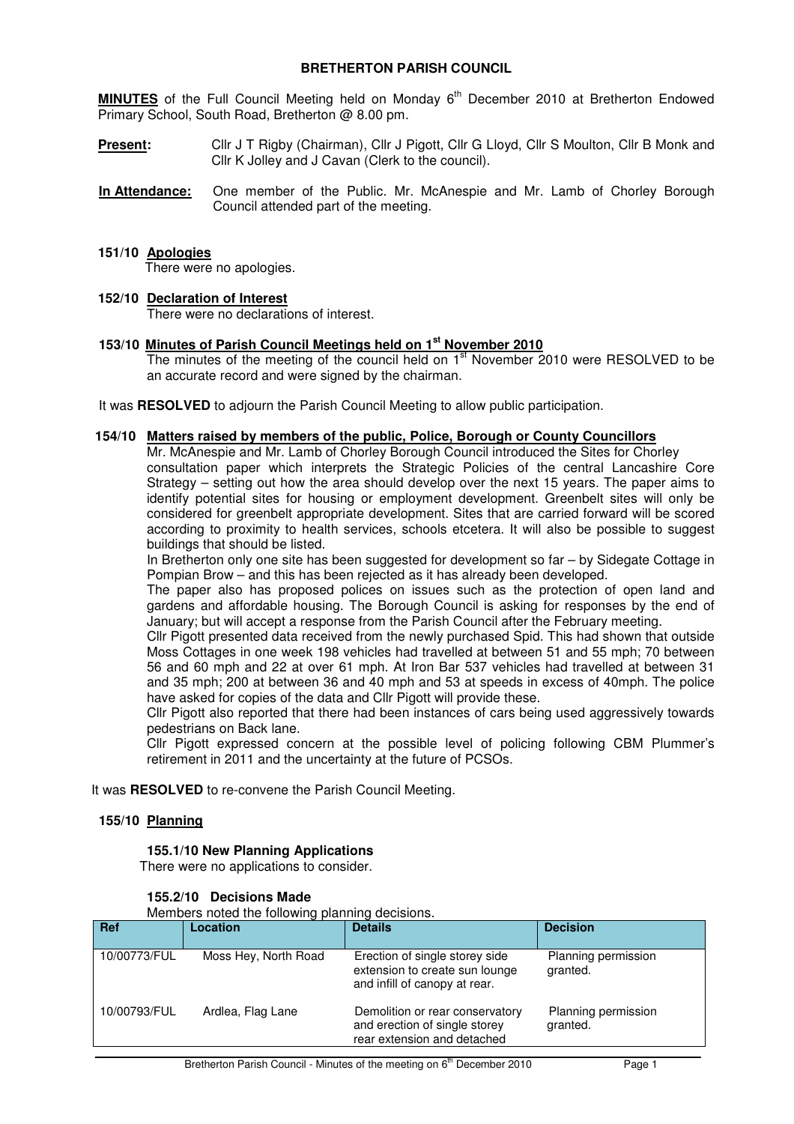# **BRETHERTON PARISH COUNCIL**

**MINUTES** of the Full Council Meeting held on Monday 6<sup>th</sup> December 2010 at Bretherton Endowed Primary School, South Road, Bretherton @ 8.00 pm.

- **Present:** Cllr J T Rigby (Chairman), Cllr J Pigott, Cllr G Lloyd, Cllr S Moulton, Cllr B Monk and Cllr K Jolley and J Cavan (Clerk to the council).
- **In Attendance:** One member of the Public. Mr. McAnespie and Mr. Lamb of Chorley Borough Council attended part of the meeting.

#### **151/10 Apologies**

There were no apologies.

#### **152/10 Declaration of Interest**

There were no declarations of interest.

**153/10 Minutes of Parish Council Meetings held on 1st November 2010**

The minutes of the meeting of the council held on  $1<sup>st</sup>$  November 2010 were RESOLVED to be an accurate record and were signed by the chairman.

It was **RESOLVED** to adjourn the Parish Council Meeting to allow public participation.

#### **154/10 Matters raised by members of the public, Police, Borough or County Councillors**

Mr. McAnespie and Mr. Lamb of Chorley Borough Council introduced the Sites for Chorley consultation paper which interprets the Strategic Policies of the central Lancashire Core Strategy – setting out how the area should develop over the next 15 years. The paper aims to identify potential sites for housing or employment development. Greenbelt sites will only be considered for greenbelt appropriate development. Sites that are carried forward will be scored according to proximity to health services, schools etcetera. It will also be possible to suggest buildings that should be listed.

In Bretherton only one site has been suggested for development so far – by Sidegate Cottage in Pompian Brow – and this has been rejected as it has already been developed.

The paper also has proposed polices on issues such as the protection of open land and gardens and affordable housing. The Borough Council is asking for responses by the end of January; but will accept a response from the Parish Council after the February meeting.

Cllr Pigott presented data received from the newly purchased Spid. This had shown that outside Moss Cottages in one week 198 vehicles had travelled at between 51 and 55 mph; 70 between 56 and 60 mph and 22 at over 61 mph. At Iron Bar 537 vehicles had travelled at between 31 and 35 mph; 200 at between 36 and 40 mph and 53 at speeds in excess of 40mph. The police have asked for copies of the data and Cllr Pigott will provide these.

Cllr Pigott also reported that there had been instances of cars being used aggressively towards pedestrians on Back lane.

Cllr Pigott expressed concern at the possible level of policing following CBM Plummer's retirement in 2011 and the uncertainty at the future of PCSOs.

It was **RESOLVED** to re-convene the Parish Council Meeting.

#### **155/10 Planning**

#### **155.1/10 New Planning Applications**

There were no applications to consider.

| Members noted the following planning decisions. |                      |                                                                                                   |                                 |  |  |
|-------------------------------------------------|----------------------|---------------------------------------------------------------------------------------------------|---------------------------------|--|--|
| <b>Ref</b>                                      | Location             | <b>Details</b>                                                                                    | <b>Decision</b>                 |  |  |
| 10/00773/FUL                                    | Moss Hey, North Road | Erection of single storey side<br>extension to create sun lounge<br>and infill of canopy at rear. | Planning permission<br>granted. |  |  |
| 10/00793/FUL                                    | Ardlea, Flag Lane    | Demolition or rear conservatory<br>and erection of single storey<br>rear extension and detached   | Planning permission<br>granted. |  |  |

#### **155.2/10 Decisions Made**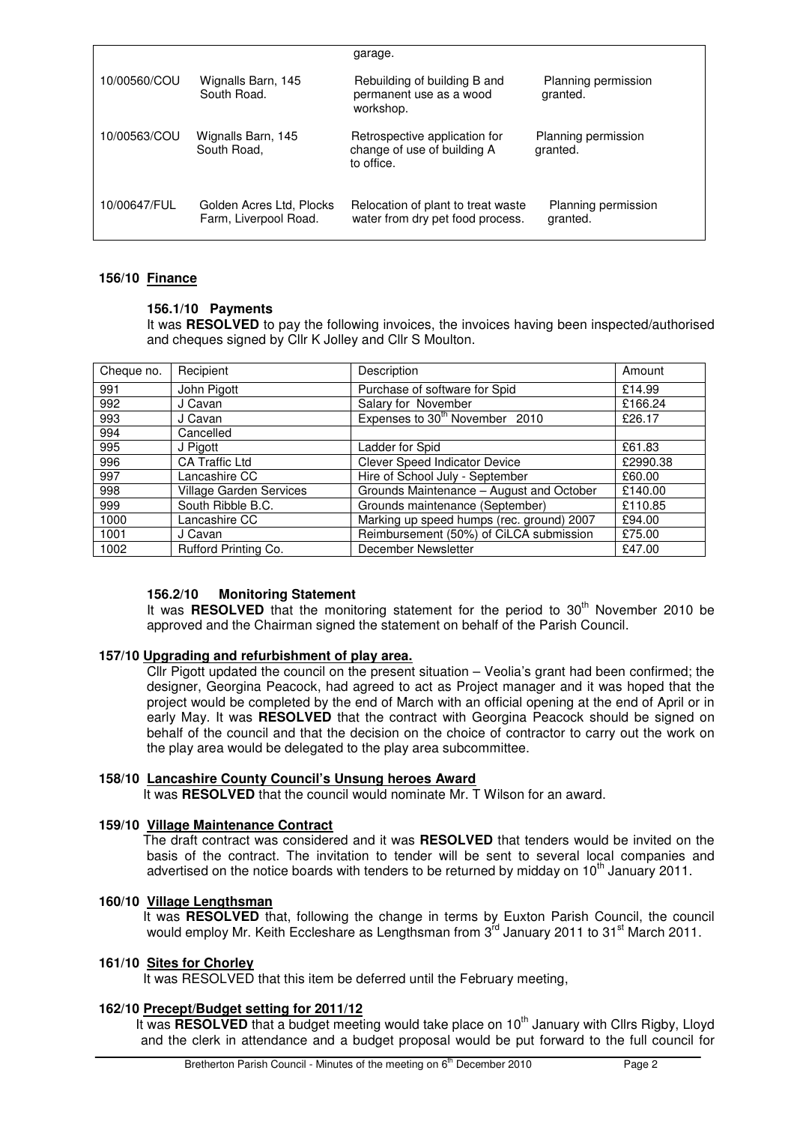|              |                                                   | garage.                                                                    |                                 |
|--------------|---------------------------------------------------|----------------------------------------------------------------------------|---------------------------------|
| 10/00560/COU | Wignalls Barn, 145<br>South Road.                 | Rebuilding of building B and<br>permanent use as a wood<br>workshop.       | Planning permission<br>granted. |
| 10/00563/COU | Wignalls Barn, 145<br>South Road,                 | Retrospective application for<br>change of use of building A<br>to office. | Planning permission<br>granted. |
| 10/00647/FUL | Golden Acres Ltd, Plocks<br>Farm, Liverpool Road. | Relocation of plant to treat waste<br>water from dry pet food process.     | Planning permission<br>granted. |

#### **156/10 Finance**

# **156.1/10 Payments**

It was **RESOLVED** to pay the following invoices, the invoices having been inspected/authorised and cheques signed by Cllr K Jolley and Cllr S Moulton.

| Cheque no. | Recipient                      | Description                                | Amount   |
|------------|--------------------------------|--------------------------------------------|----------|
| 991        | John Pigott                    | Purchase of software for Spid              | £14.99   |
| 992        | J Cavan                        | Salary for November                        | £166.24  |
| 993        | J Cavan                        | Expenses to 30 <sup>th</sup> November 2010 | £26.17   |
| 994        | Cancelled                      |                                            |          |
| 995        | J Pigott                       | Ladder for Spid                            | £61.83   |
| 996        | <b>CA Traffic Ltd</b>          | Clever Speed Indicator Device              | £2990.38 |
| 997        | Lancashire CC                  | Hire of School July - September            | £60.00   |
| 998        | <b>Village Garden Services</b> | Grounds Maintenance - August and October   | £140.00  |
| 999        | South Ribble B.C.              | Grounds maintenance (September)            | £110.85  |
| 1000       | Lancashire CC                  | Marking up speed humps (rec. ground) 2007  | £94.00   |
| 1001       | J Cavan                        | Reimbursement (50%) of CiLCA submission    | £75.00   |
| 1002       | <b>Rufford Printing Co.</b>    | December Newsletter                        | £47.00   |

# **156.2/10 Monitoring Statement**

It was **RESOLVED** that the monitoring statement for the period to 30<sup>th</sup> November 2010 be approved and the Chairman signed the statement on behalf of the Parish Council.

# **157/10 Upgrading and refurbishment of play area.**

Cllr Pigott updated the council on the present situation – Veolia's grant had been confirmed; the designer, Georgina Peacock, had agreed to act as Project manager and it was hoped that the project would be completed by the end of March with an official opening at the end of April or in early May. It was **RESOLVED** that the contract with Georgina Peacock should be signed on behalf of the council and that the decision on the choice of contractor to carry out the work on the play area would be delegated to the play area subcommittee.

# **158/10 Lancashire County Council's Unsung heroes Award**

It was **RESOLVED** that the council would nominate Mr. T Wilson for an award.

# **159/10 Village Maintenance Contract**

The draft contract was considered and it was **RESOLVED** that tenders would be invited on the basis of the contract. The invitation to tender will be sent to several local companies and advertised on the notice boards with tenders to be returned by midday on  $10<sup>th</sup>$  January 2011.

# **160/10 Village Lengthsman**

It was **RESOLVED** that, following the change in terms by Euxton Parish Council, the council while the control of the mail, tend may be changed in terms by dancer them counted the country would employ Mr. Keith Eccleshare as Lengthsman from 3<sup>rd</sup> January 2011 to 31<sup>st</sup> March 2011.

#### **161/10 Sites for Chorley**

It was RESOLVED that this item be deferred until the February meeting,

# **162/10 Precept/Budget setting for 2011/12**

It was **RESOLVED** that a budget meeting would take place on 10<sup>th</sup> January with Cllrs Rigby, Lloyd and the clerk in attendance and a budget proposal would be put forward to the full council for